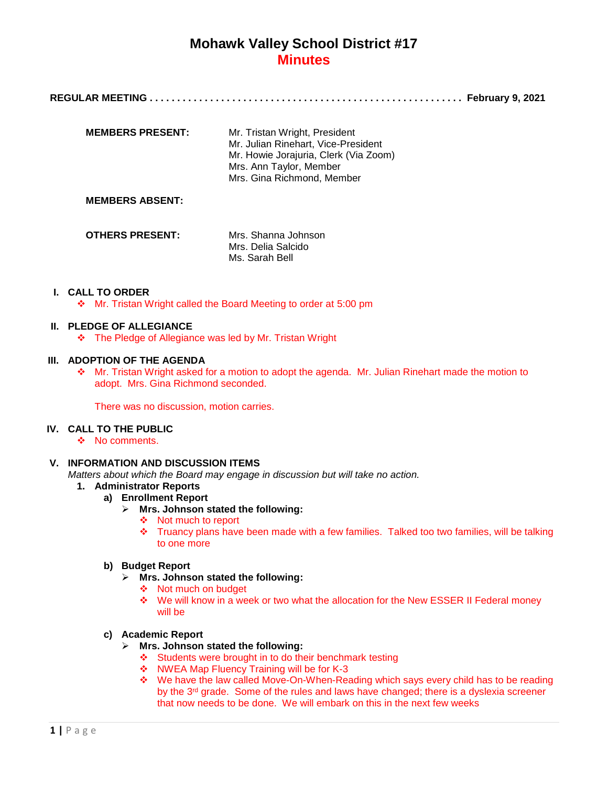**REGULAR MEETING . . . . . . . . . . . . . . . . . . . . . . . . . . . . . . . . . . . . . . . . . . . . . . . . . . . . . . . . . February 9, 2021**

| <b>MEMBERS PRESENT:</b> | Mr. Tristan Wright, President<br>Mr. Julian Rinehart, Vice-President<br>Mr. Howie Jorajuria, Clerk (Via Zoom)<br>Mrs. Ann Taylor, Member<br>Mrs. Gina Richmond. Member |
|-------------------------|------------------------------------------------------------------------------------------------------------------------------------------------------------------------|
|                         |                                                                                                                                                                        |

### **MEMBERS ABSENT:**

| <b>OTHERS PRESENT:</b> | Mrs. Shanna Johnson |
|------------------------|---------------------|
|                        | Mrs. Delia Salcido  |
|                        | Ms. Sarah Bell      |

## **I. CALL TO ORDER**

Mr. Tristan Wright called the Board Meeting to order at 5:00 pm

## **II. PLEDGE OF ALLEGIANCE**

\* The Pledge of Allegiance was led by Mr. Tristan Wright

## **III. ADOPTION OF THE AGENDA**

 Mr. Tristan Wright asked for a motion to adopt the agenda. Mr. Julian Rinehart made the motion to adopt. Mrs. Gina Richmond seconded.

There was no discussion, motion carries.

# **IV. CALL TO THE PUBLIC**

❖ No comments.

### **V. INFORMATION AND DISCUSSION ITEMS**

*Matters about which the Board may engage in discussion but will take no action.*

- **1. Administrator Reports**
	- **a) Enrollment Report**
		- **Mrs. Johnson stated the following:**
			- ❖ Not much to report
			- Truancy plans have been made with a few families. Talked too two families, will be talking to one more

### **b) Budget Report**

- **Mrs. Johnson stated the following:**
	- ❖ Not much on budget
	- We will know in a week or two what the allocation for the New ESSER II Federal money will be

### **c) Academic Report**

- **Mrs. Johnson stated the following:**
	- Students were brought in to do their benchmark testing
	- ◆ NWEA Map Fluency Training will be for K-3
	- We have the law called Move-On-When-Reading which says every child has to be reading by the  $3<sup>rd</sup>$  grade. Some of the rules and laws have changed; there is a dyslexia screener that now needs to be done. We will embark on this in the next few weeks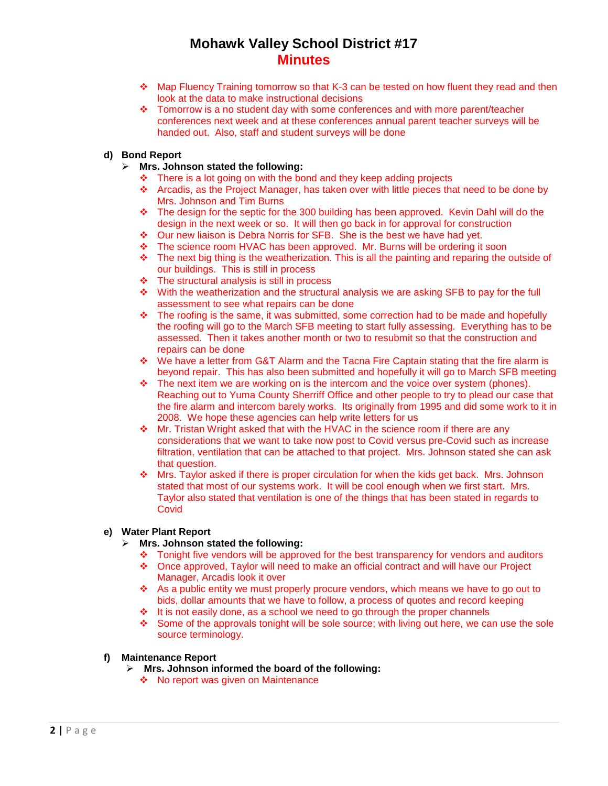- Map Fluency Training tomorrow so that K-3 can be tested on how fluent they read and then look at the data to make instructional decisions
- Tomorrow is a no student day with some conferences and with more parent/teacher conferences next week and at these conferences annual parent teacher surveys will be handed out. Also, staff and student surveys will be done

# **d) Bond Report**

- **Mrs. Johnson stated the following:**
	- $\cdot \cdot$  There is a lot going on with the bond and they keep adding projects
	- Arcadis, as the Project Manager, has taken over with little pieces that need to be done by Mrs. Johnson and Tim Burns
	- $\div$  The design for the septic for the 300 building has been approved. Kevin Dahl will do the design in the next week or so. It will then go back in for approval for construction
	- ◆ Our new liaison is Debra Norris for SFB. She is the best we have had yet.
	- The science room HVAC has been approved. Mr. Burns will be ordering it soon
	- $\div$  The next big thing is the weatherization. This is all the painting and reparing the outside of our buildings. This is still in process
	- $\div$  The structural analysis is still in process
	- $\div$  With the weatherization and the structural analysis we are asking SFB to pay for the full assessment to see what repairs can be done
	- $\bullet$  The roofing is the same, it was submitted, some correction had to be made and hopefully the roofing will go to the March SFB meeting to start fully assessing. Everything has to be assessed. Then it takes another month or two to resubmit so that the construction and repairs can be done
	- We have a letter from G&T Alarm and the Tacna Fire Captain stating that the fire alarm is beyond repair. This has also been submitted and hopefully it will go to March SFB meeting
	- \* The next item we are working on is the intercom and the voice over system (phones). Reaching out to Yuma County Sherriff Office and other people to try to plead our case that the fire alarm and intercom barely works. Its originally from 1995 and did some work to it in 2008. We hope these agencies can help write letters for us
	- Mr. Tristan Wright asked that with the HVAC in the science room if there are any considerations that we want to take now post to Covid versus pre-Covid such as increase filtration, ventilation that can be attached to that project. Mrs. Johnson stated she can ask that question.
	- Mrs. Taylor asked if there is proper circulation for when the kids get back. Mrs. Johnson stated that most of our systems work. It will be cool enough when we first start. Mrs. Taylor also stated that ventilation is one of the things that has been stated in regards to **Covid**

# **e) Water Plant Report**

### **Mrs. Johnson stated the following:**

- $\div$  Tonight five vendors will be approved for the best transparency for vendors and auditors
- Once approved, Taylor will need to make an official contract and will have our Project Manager, Arcadis look it over
- As a public entity we must properly procure vendors, which means we have to go out to bids, dollar amounts that we have to follow, a process of quotes and record keeping
- $\cdot \cdot$  It is not easily done, as a school we need to go through the proper channels
- Some of the approvals tonight will be sole source; with living out here, we can use the sole source terminology.

### **f) Maintenance Report**

- **Mrs. Johnson informed the board of the following:**
	- No report was given on Maintenance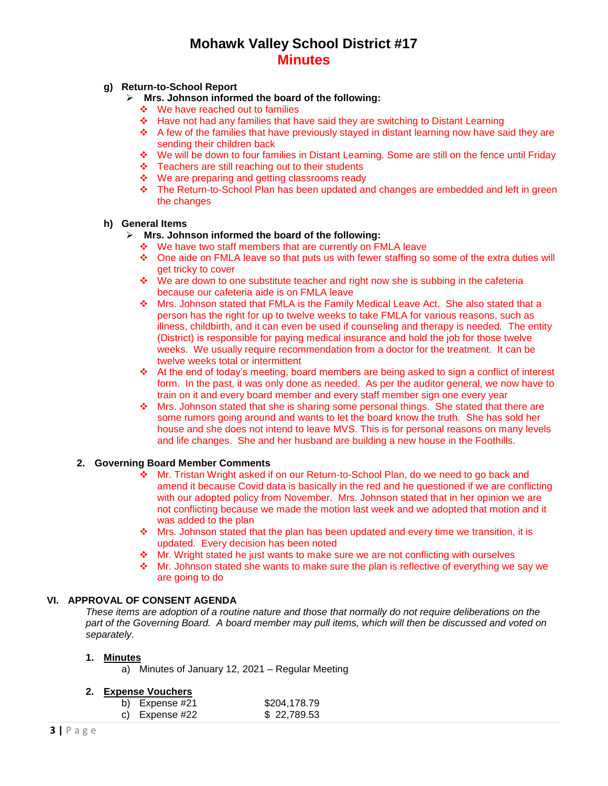## **g) Return-to-School Report**

- **Mrs. Johnson informed the board of the following:**
	- ❖ We have reached out to families
	- Have not had any families that have said they are switching to Distant Learning
	- $\div$  A few of the families that have previously stayed in distant learning now have said they are sending their children back
	- We will be down to four families in Distant Learning. Some are still on the fence until Friday
	- $\div$  Teachers are still reaching out to their students
	- We are preparing and getting classrooms ready
	- The Return-to-School Plan has been updated and changes are embedded and left in green the changes

# **h) General Items**

## **Mrs. Johnson informed the board of the following:**

- ❖ We have two staff members that are currently on FMLA leave
- One aide on FMLA leave so that puts us with fewer staffing so some of the extra duties will get tricky to cover
- $\bullet\quad$  We are down to one substitute teacher and right now she is subbing in the cafeteria because our cafeteria aide is on FMLA leave
- $\div$  Mrs. Johnson stated that FMLA is the Family Medical Leave Act. She also stated that a person has the right for up to twelve weeks to take FMLA for various reasons, such as illness, childbirth, and it can even be used if counseling and therapy is needed. The entity (District) is responsible for paying medical insurance and hold the job for those twelve weeks. We usually require recommendation from a doctor for the treatment. It can be twelve weeks total or intermittent
- $\triangle$  At the end of today's meeting, board members are being asked to sign a conflict of interest form. In the past, it was only done as needed. As per the auditor general, we now have to train on it and every board member and every staff member sign one every year
- $\cdot \cdot$  Mrs. Johnson stated that she is sharing some personal things. She stated that there are some rumors going around and wants to let the board know the truth. She has sold her house and she does not intend to leave MVS. This is for personal reasons on many levels and life changes. She and her husband are building a new house in the Foothills.

### **2. Governing Board Member Comments**

- Mr. Tristan Wright asked if on our Return-to-School Plan, do we need to go back and amend it because Covid data is basically in the red and he questioned if we are conflicting with our adopted policy from November. Mrs. Johnson stated that in her opinion we are not conflicting because we made the motion last week and we adopted that motion and it was added to the plan
- $\cdot \cdot$  Mrs. Johnson stated that the plan has been updated and every time we transition, it is updated. Every decision has been noted
- Mr. Wright stated he just wants to make sure we are not conflicting with ourselves
- $\cdot \cdot$  Mr. Johnson stated she wants to make sure the plan is reflective of everything we say we are going to do

# **VI. APPROVAL OF CONSENT AGENDA**

*These items are adoption of a routine nature and those that normally do not require deliberations on the part of the Governing Board. A board member may pull items, which will then be discussed and voted on separately.*

### **1. Minutes**

a) Minutes of January 12, 2021 – Regular Meeting

# **2. Expense Vouchers**

| b) Expense $#21$ | \$204,178.79 |
|------------------|--------------|
| c) Expense #22   | \$22,789.53  |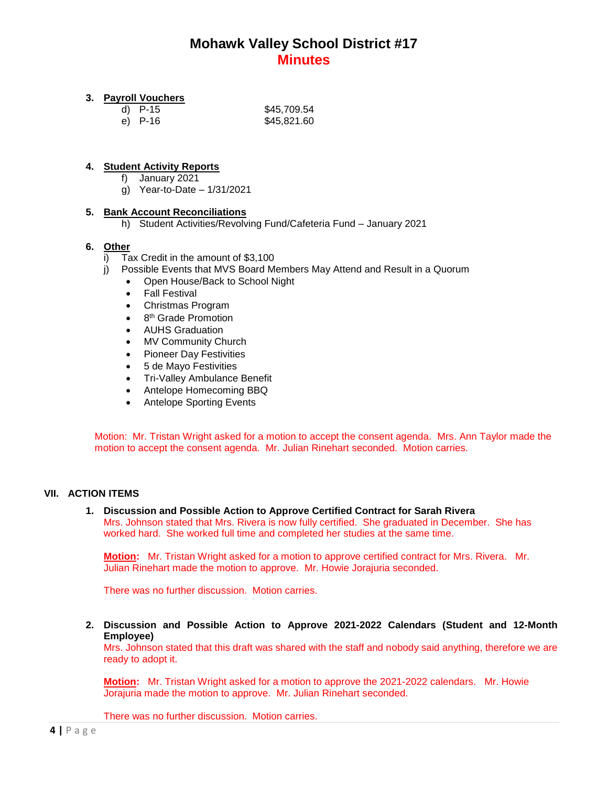## **3. Payroll Vouchers**

| d) P-15 | \$45,709.54 |
|---------|-------------|
| e) P-16 | \$45,821.60 |

## **4. Student Activity Reports**

- f) January 2021
- g) Year-to-Date 1/31/2021

### **5. Bank Account Reconciliations**

h) Student Activities/Revolving Fund/Cafeteria Fund – January 2021

## **6. Other**

- i) Tax Credit in the amount of \$3,100
- j) Possible Events that MVS Board Members May Attend and Result in a Quorum
	- Open House/Back to School Night
	- Fall Festival
	- Christmas Program
	- $\bullet$ 8<sup>th</sup> Grade Promotion
	- AUHS Graduation
	- MV Community Church
	- Pioneer Day Festivities
	- 5 de Mayo Festivities
	- Tri-Valley Ambulance Benefit
	- Antelope Homecoming BBQ
	- Antelope Sporting Events

Motion: Mr. Tristan Wright asked for a motion to accept the consent agenda. Mrs. Ann Taylor made the motion to accept the consent agenda. Mr. Julian Rinehart seconded. Motion carries.

### **VII. ACTION ITEMS**

**1. Discussion and Possible Action to Approve Certified Contract for Sarah Rivera** Mrs. Johnson stated that Mrs. Rivera is now fully certified. She graduated in December. She has worked hard. She worked full time and completed her studies at the same time.

**Motion:** Mr. Tristan Wright asked for a motion to approve certified contract for Mrs. Rivera. Mr. Julian Rinehart made the motion to approve. Mr. Howie Jorajuria seconded.

There was no further discussion. Motion carries.

**2. Discussion and Possible Action to Approve 2021-2022 Calendars (Student and 12-Month Employee)**

Mrs. Johnson stated that this draft was shared with the staff and nobody said anything, therefore we are ready to adopt it.

**Motion:** Mr. Tristan Wright asked for a motion to approve the 2021-2022 calendars. Mr. Howie Jorajuria made the motion to approve. Mr. Julian Rinehart seconded.

There was no further discussion. Motion carries.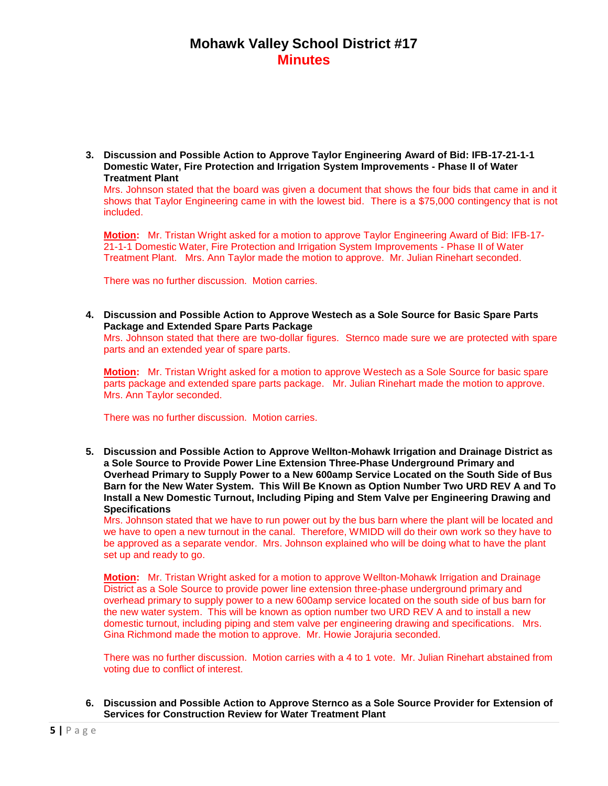**3. Discussion and Possible Action to Approve Taylor Engineering Award of Bid: IFB-17-21-1-1 Domestic Water, Fire Protection and Irrigation System Improvements - Phase II of Water Treatment Plant**

Mrs. Johnson stated that the board was given a document that shows the four bids that came in and it shows that Taylor Engineering came in with the lowest bid. There is a \$75,000 contingency that is not included.

**Motion:** Mr. Tristan Wright asked for a motion to approve Taylor Engineering Award of Bid: IFB-17- 21-1-1 Domestic Water, Fire Protection and Irrigation System Improvements - Phase II of Water Treatment Plant. Mrs. Ann Taylor made the motion to approve. Mr. Julian Rinehart seconded.

There was no further discussion. Motion carries.

**4. Discussion and Possible Action to Approve Westech as a Sole Source for Basic Spare Parts Package and Extended Spare Parts Package**

Mrs. Johnson stated that there are two-dollar figures. Sternco made sure we are protected with spare parts and an extended year of spare parts.

**Motion:** Mr. Tristan Wright asked for a motion to approve Westech as a Sole Source for basic spare parts package and extended spare parts package. Mr. Julian Rinehart made the motion to approve. Mrs. Ann Taylor seconded.

There was no further discussion. Motion carries.

**5. Discussion and Possible Action to Approve Wellton-Mohawk Irrigation and Drainage District as a Sole Source to Provide Power Line Extension Three-Phase Underground Primary and Overhead Primary to Supply Power to a New 600amp Service Located on the South Side of Bus Barn for the New Water System. This Will Be Known as Option Number Two URD REV A and To Install a New Domestic Turnout, Including Piping and Stem Valve per Engineering Drawing and Specifications**

Mrs. Johnson stated that we have to run power out by the bus barn where the plant will be located and we have to open a new turnout in the canal. Therefore, WMIDD will do their own work so they have to be approved as a separate vendor. Mrs. Johnson explained who will be doing what to have the plant set up and ready to go.

**Motion:** Mr. Tristan Wright asked for a motion to approve Wellton-Mohawk Irrigation and Drainage District as a Sole Source to provide power line extension three-phase underground primary and overhead primary to supply power to a new 600amp service located on the south side of bus barn for the new water system. This will be known as option number two URD REV A and to install a new domestic turnout, including piping and stem valve per engineering drawing and specifications. Mrs. Gina Richmond made the motion to approve. Mr. Howie Jorajuria seconded.

There was no further discussion. Motion carries with a 4 to 1 vote. Mr. Julian Rinehart abstained from voting due to conflict of interest.

**6. Discussion and Possible Action to Approve Sternco as a Sole Source Provider for Extension of Services for Construction Review for Water Treatment Plant**